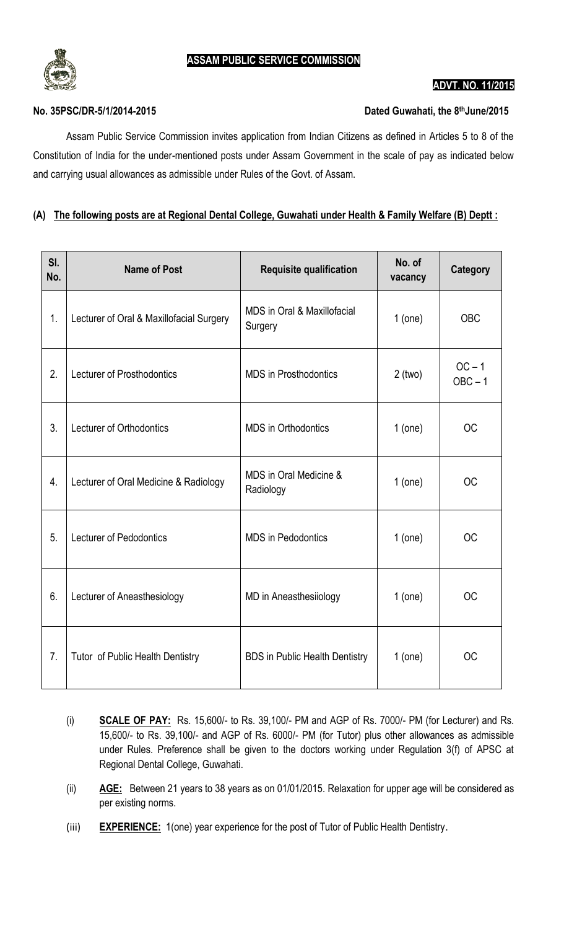

#### **ADVT. NO. 11/2015**

### $No. 35PSC/DR-5/1/2014-2015$

## Dated Guwahati, the 8<sup>th</sup>June/2015

Assam Public Service Commission invites application from Indian Citizens as defined in Articles 5 to 8 of the Constitution of India for the under-mentioned posts under Assam Government in the scale of pay as indicated below and carrying usual allowances as admissible under Rules of the Govt. of Assam.

# **(A) The following posts are at Regional Dental College, Guwahati under Health & Family Welfare (B) Deptt :**

| SI.<br>No. | <b>Name of Post</b>                      | <b>Requisite qualification</b>         | No. of<br>vacancy | Category              |
|------------|------------------------------------------|----------------------------------------|-------------------|-----------------------|
| 1.         | Lecturer of Oral & Maxillofacial Surgery | MDS in Oral & Maxillofacial<br>Surgery | $1$ (one)         | <b>OBC</b>            |
| 2.         | <b>Lecturer of Prosthodontics</b>        | <b>MDS</b> in Prosthodontics           | $2$ (two)         | $OC - 1$<br>$OBC - 1$ |
| 3.         | Lecturer of Orthodontics                 | <b>MDS</b> in Orthodontics             | $1$ (one)         | <b>OC</b>             |
| 4.         | Lecturer of Oral Medicine & Radiology    | MDS in Oral Medicine &<br>Radiology    | $1$ (one)         | <b>OC</b>             |
| 5.         | Lecturer of Pedodontics                  | <b>MDS</b> in Pedodontics              | $1$ (one)         | <b>OC</b>             |
| 6.         | Lecturer of Aneasthesiology              | MD in Aneasthesiiology                 | $1$ (one)         | <b>OC</b>             |
| 7.         | Tutor of Public Health Dentistry         | <b>BDS in Public Health Dentistry</b>  | $1$ (one)         | <b>OC</b>             |

- (i) **SCALE OF PAY:** Rs. 15,600/- to Rs. 39,100/- PM and AGP of Rs. 7000/- PM (for Lecturer) and Rs. 15,600/- to Rs. 39,100/- and AGP of Rs. 6000/- PM (for Tutor) plus other allowances as admissible under Rules. Preference shall be given to the doctors working under Regulation 3(f) of APSC at Regional Dental College, Guwahati.
- (ii) **AGE:** Between 21 years to 38 years as on 01/01/2015. Relaxation for upper age will be considered as per existing norms.
- (iii) **EXPERIENCE:** 1(one) year experience for the post of Tutor of Public Health Dentistry.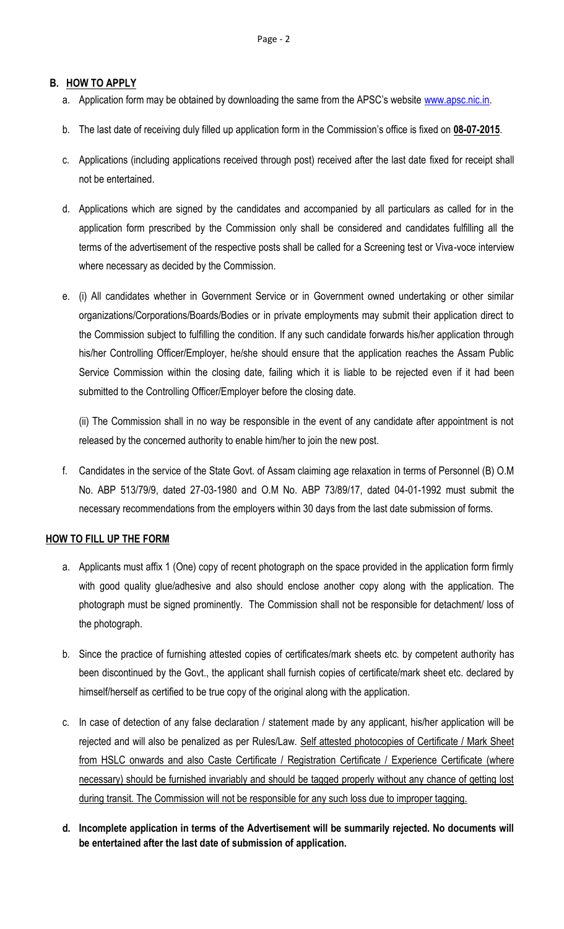# **B. HOW TO APPLY**

- a. Application form may be obtained by downloading the same from the APSC's website [www.apsc.nic.in.](http://www.apsc.nic.in/)
- b. The last date of receiving duly filled up application form in the Commission's office is fixed on **08-07-2015**.
- c. Applications (including applications received through post) received after the last date fixed for receipt shall not be entertained.
- d. Applications which are signed by the candidates and accompanied by all particulars as called for in the application form prescribed by the Commission only shall be considered and candidates fulfilling all the terms of the advertisement of the respective posts shall be called for a Screening test or Viva-voce interview where necessary as decided by the Commission.
- e. (i) All candidates whether in Government Service or in Government owned undertaking or other similar organizations/Corporations/Boards/Bodies or in private employments may submit their application direct to the Commission subject to fulfilling the condition. If any such candidate forwards his/her application through his/her Controlling Officer/Employer, he/she should ensure that the application reaches the Assam Public Service Commission within the closing date, failing which it is liable to be rejected even if it had been submitted to the Controlling Officer/Employer before the closing date.

(ii) The Commission shall in no way be responsible in the event of any candidate after appointment is not released by the concerned authority to enable him/her to join the new post.

f. Candidates in the service of the State Govt. of Assam claiming age relaxation in terms of Personnel (B) O.M No. ABP 513/79/9, dated 27-03-1980 and O.M No. ABP 73/89/17, dated 04-01-1992 must submit the necessary recommendations from the employers within 30 days from the last date submission of forms.

# **HOW TO FILL UP THE FORM**

- a. Applicants must affix 1 (One) copy of recent photograph on the space provided in the application form firmly with good quality glue/adhesive and also should enclose another copy along with the application. The photograph must be signed prominently. The Commission shall not be responsible for detachment/ loss of the photograph.
- b. Since the practice of furnishing attested copies of certificates/mark sheets etc. by competent authority has been discontinued by the Govt., the applicant shall furnish copies of certificate/mark sheet etc. declared by himself/herself as certified to be true copy of the original along with the application.
- c. In case of detection of any false declaration / statement made by any applicant, his/her application will be rejected and will also be penalized as per Rules/Law. Self attested photocopies of Certificate / Mark Sheet from HSLC onwards and also Caste Certificate / Registration Certificate / Experience Certificate (where necessary) should be furnished invariably and should be tagged properly without any chance of getting lost during transit. The Commission will not be responsible for any such loss due to improper tagging.
- **d. Incomplete application in terms of the Advertisement will be summarily rejected. No documents will be entertained after the last date of submission of application.**